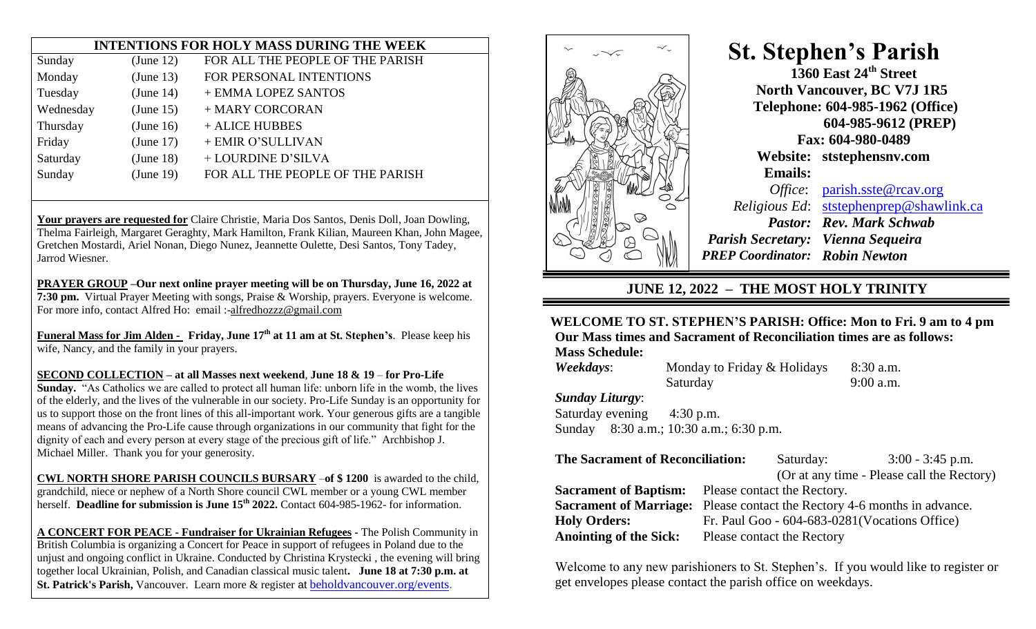|           |           | <b>INTENTIONS FOR HOLY MASS DURING THE WEEK</b> |
|-----------|-----------|-------------------------------------------------|
| Sunday    | (June 12) | FOR ALL THE PEOPLE OF THE PARISH                |
| Monday    | (June 13) | FOR PERSONAL INTENTIONS                         |
| Tuesday   | (June 14) | + EMMA LOPEZ SANTOS                             |
| Wednesday | (June 15) | + MARY CORCORAN                                 |
| Thursday  | (June 16) | + ALICE HUBBES                                  |
| Friday    | (June 17) | + EMIR O'SULLIVAN                               |
| Saturday  | (June 18) | + LOURDINE D'SILVA                              |
| Sunday    | (June 19) | FOR ALL THE PEOPLE OF THE PARISH                |
|           |           |                                                 |

**Your prayers are requested for** Claire Christie, Maria Dos Santos, Denis Doll, Joan Dowling, Thelma Fairleigh, Margaret Geraghty, Mark Hamilton, Frank Kilian, Maureen Khan, John Magee, Gretchen Mostardi, Ariel Nonan, Diego Nunez, Jeannette Oulette, Desi Santos, Tony Tadey, Jarrod Wiesner.

**PRAYER GROUP –Our next online prayer meeting will be on Thursday, June 16, 2022 at 7:30 pm.** Virtual Prayer Meeting with songs, Praise & Worship, prayers. Everyone is welcome. For more info, contact Alfred Ho: email :[-alfredhozzz@gmail.com](mailto:alfredhozzz@gmail.com)

**Funeral Mass for Jim Alden - Friday, June 17th at 11 am at St. Stephen's**. Please keep his wife, Nancy, and the family in your prayers.

**SECOND COLLECTION – at all Masses next weekend**, **June 18 & 19** – **for Pro-Life**

**Sunday.** "As Catholics we are called to protect all human life: unborn life in the womb, the lives of the elderly, and the lives of the vulnerable in our society. Pro-Life Sunday is an opportunity for us to support those on the front lines of this all-important work. Your generous gifts are a tangible means of advancing the Pro-Life cause through organizations in our community that fight for the dignity of each and every person at every stage of the precious gift of life." Archbishop J. Michael Miller. Thank you for your generosity.

**CWL NORTH SHORE PARISH COUNCILS BURSARY** –**of \$ 1200** is awarded to the child, grandchild, niece or nephew of a North Shore council CWL member or a young CWL member herself. **Deadline for submission is June 15th 2022.** Contact 604-985-1962- for information.

**A CONCERT FOR PEACE - Fundraiser for Ukrainian Refugees -** The Polish Community in British Columbia is organizing a Concert for Peace in support of refugees in Poland due to the unjust and ongoing conflict in Ukraine. Conducted by Christina Krystecki , the evening will bring together local Ukrainian, Polish, and Canadian classical music talent**. June 18 at 7:30 p.m. at St. Patrick's Parish,** Vancouver. Learn more & register at [beholdvancouver.org/events.](https://www2.rcav.org/e/897551/draiser-for-ukrainian-refugees/3fvqmj/740310798?h=HWyMGs0ylS4J2eEx4JRYswY5OPgT5BhEu4tC3yWY1pI)



 **St. Stephen's Parish 1360 East 24th Street North Vancouver, BC V7J 1R5 Telephone: 604-985-1962 (Office)**

> **604-985-9612 (PREP) Fax: 604-980-0489 Website: ststephensnv.com Emails:**

*Office*: [parish.sste@rcav.org](about:blank) *Religious Ed*: [ststephenprep@shawlink.ca](about:blank) *Pastor: Rev. Mark Schwab Parish Secretary: Vienna Sequeira PREP Coordinator: Robin Newton*

## **JUNE 12, 2022 – THE MOST HOLY TRINITY**

## **WELCOME TO ST. STEPHEN'S PARISH: Office: Mon to Fri. 9 am to 4 pm Our Mass times and Sacrament of Reconciliation times are as follows:**

**Mass Schedule:**

*Weekdays:* Monday to Friday & Holidays 8:30 a.m. Saturday 9:00 a.m. *Sunday Liturgy*:

Saturday evening 4:30 p.m.

Sunday 8:30 a.m.; 10:30 a.m.; 6:30 p.m.

| <b>The Sacrament of Reconciliation:</b> |                                                                                 | Saturday:                  | $3:00 - 3:45$ p.m.                             |  |
|-----------------------------------------|---------------------------------------------------------------------------------|----------------------------|------------------------------------------------|--|
|                                         |                                                                                 |                            | (Or at any time - Please call the Rectory)     |  |
|                                         | <b>Sacrament of Baptism:</b> Please contact the Rectory.                        |                            |                                                |  |
|                                         | <b>Sacrament of Marriage:</b> Please contact the Rectory 4-6 months in advance. |                            |                                                |  |
| <b>Holy Orders:</b>                     |                                                                                 |                            | Fr. Paul Goo - 604-683-0281 (Vocations Office) |  |
| <b>Anointing of the Sick:</b>           |                                                                                 | Please contact the Rectory |                                                |  |

Welcome to any new parishioners to St. Stephen's. If you would like to register or get envelopes please contact the parish office on weekdays.